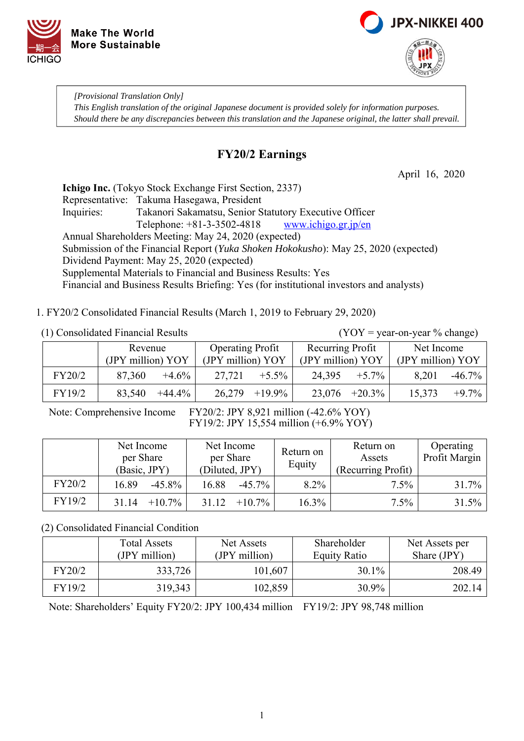



*[Provisional Translation Only] This English translation of the original Japanese document is provided solely for information purposes. Should there be any discrepancies between this translation and the Japanese original, the latter shall prevail.*

## **FY20/2 Earnings**

April 16, 2020

**Ichigo Inc.** (Tokyo Stock Exchange First Section, 2337) Representative: Takuma Hasegawa, President Inquiries: Takanori Sakamatsu, Senior Statutory Executive Officer Telephone: +81-3-3502-4818 [www.ichigo.gr.jp/en](https://www.ichigo.gr.jp/en) Annual Shareholders Meeting: May 24, 2020 (expected) Submission of the Financial Report (*Yuka Shoken Hokokusho*): May 25, 2020 (expected) Dividend Payment: May 25, 2020 (expected) Supplemental Materials to Financial and Business Results: Yes Financial and Business Results Briefing: Yes (for institutional investors and analysts)

1. FY20/2 Consolidated Financial Results (March 1, 2019 to February 29, 2020)

 (1) Consolidated Financial Results (YOY = year-on-year % change) Revenue (JPY million) YOY Operating Profit (JPY million) YOY Recurring Profit (JPY million) YOY Net Income (JPY million) YOY FY20/2 | 87,360 +4.6% 27,721 +5.5% 24,395 +5.7% 8,201 -46.7% FY19/2 | 83,540 +44.4% | 26,279 +19.9% | 23,076 +20.3% | 15,373 +9.7%

Note: Comprehensive Income FY20/2: JPY 8,921 million (-42.6% YOY) FY19/2: JPY 15,554 million (+6.9% YOY)

|        | Net Income<br>per Share<br>(Basic, JPY) | Net Income<br>per Share<br>(Diluted, JPY) | Return on<br>Equity | Return on<br>Assets<br>(Recurring Profit) | Operating<br>Profit Margin |
|--------|-----------------------------------------|-------------------------------------------|---------------------|-------------------------------------------|----------------------------|
| FY20/2 | $-45.8\%$<br>16.89                      | 16.88<br>$-45.7\%$                        | $8.2\%$             | $7.5\%$                                   | $31.7\%$                   |
| FY19/2 | $+10.7\%$<br>31.14                      | $+10.7\%$<br>31.12                        | 16.3%               | $7.5\%$                                   | $31.5\%$                   |

(2) Consolidated Financial Condition

|        | <b>Total Assets</b><br>(JPY million) | Net Assets<br>(JPY million) | Shareholder<br><b>Equity Ratio</b> | Net Assets per<br>Share (JPY) |
|--------|--------------------------------------|-----------------------------|------------------------------------|-------------------------------|
| FY20/2 | 333,726                              | 101,607                     | $30.1\%$                           | 208.49                        |
| FY19/2 | 319,343                              | 102,859                     | 30.9%                              | 202.14                        |

Note: Shareholders' Equity FY20/2: JPY 100,434 million FY19/2: JPY 98,748 million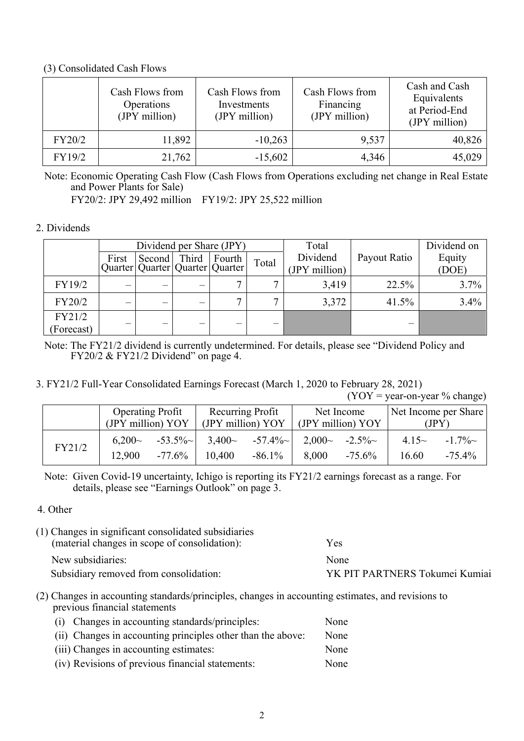#### (3) Consolidated Cash Flows

|        | Cash Flows from<br>Operations<br>(JPY million) | Cash Flows from<br>Investments<br>(JPY million) | Cash Flows from<br>Financing<br>(JPY million) | Cash and Cash<br>Equivalents<br>at Period-End<br>(JPY million) |
|--------|------------------------------------------------|-------------------------------------------------|-----------------------------------------------|----------------------------------------------------------------|
| FY20/2 | 11,892                                         | $-10,263$                                       | 9,537                                         | 40,826                                                         |
| FY19/2 | 21,762                                         | $-15,602$                                       | 4,346                                         | 45,029                                                         |

Note: Economic Operating Cash Flow (Cash Flows from Operations excluding net change in Real Estate and Power Plants for Sale)

FY20/2: JPY 29,492 million FY19/2: JPY 25,522 million

#### 2. Dividends

|            |                          | Dividend per Share (JPY)                    |                          |              |              | Total                     |              | Dividend on     |
|------------|--------------------------|---------------------------------------------|--------------------------|--------------|--------------|---------------------------|--------------|-----------------|
|            | First                    | Second  <br>Quarter Quarter Quarter Quarter | Third                    | Fourth       | Total        | Dividend<br>(JPY million) | Payout Ratio | Equity<br>(DOE) |
| FY19/2     | —<br>——                  | —                                           |                          | $\mathbf{r}$ | $\mathbf{r}$ | 3,419                     | 22.5%        | 3.7%            |
| FY20/2     | $\overline{\phantom{0}}$ | —                                           |                          |              | $\mathbf{r}$ | 3,372                     | 41.5%        | 3.4%            |
| FY21/2     | $\overline{\phantom{a}}$ | —                                           | $\overline{\phantom{0}}$ |              |              |                           | —            |                 |
| (Forecast) |                          |                                             |                          |              |              |                           |              |                 |

Note: The FY21/2 dividend is currently undetermined. For details, please see "Dividend Policy and FY20/2 & FY21/2 Dividend" on page 4.

### 3. FY21/2 Full-Year Consolidated Earnings Forecast (March 1, 2020 to February 28, 2021)

 $(YOY = \text{year-on-year } \% \text{ change})$ 

|        | <b>Operating Profit</b><br>(JPY million) YOY |           | (JPY million) YOY | Recurring Profit |          | Net Income<br>(JPY million) YOY |         | Net Income per Share<br>(JPY) |
|--------|----------------------------------------------|-----------|-------------------|------------------|----------|---------------------------------|---------|-------------------------------|
| FY21/2 | $6.200-$                                     | $-53.5\%$ | $3,400-$          | $-57.4\%$        | $2,000-$ | $-2.5\%$                        | $4.15-$ | $-1.7\%$                      |
|        | 12.900                                       | $-77.6\%$ | 10,400            | $-86.1\%$        | 8,000    | $-75.6\%$                       | 16.60   | $-75.4\%$                     |

Note: Given Covid-19 uncertainty, Ichigo is reporting its FY21/2 earnings forecast as a range. For details, please see "Earnings Outlook" on page 3.

#### 4. Other

| Yes                            |
|--------------------------------|
| None                           |
| YK PIT PARTNERS Tokumei Kumiai |
|                                |

(2) Changes in accounting standards/principles, changes in accounting estimates, and revisions to previous financial statements

| (i) Changes in accounting standards/principles:             | None |
|-------------------------------------------------------------|------|
| (ii) Changes in accounting principles other than the above: | None |
| (iii) Changes in accounting estimates:                      | None |
| (iv) Revisions of previous financial statements:            | None |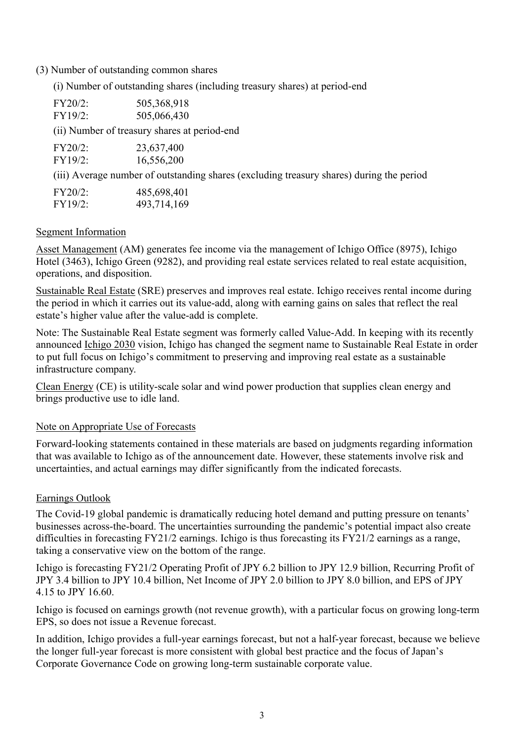#### (3) Number of outstanding common shares

(i) Number of outstanding shares (including treasury shares) at period-end

| $FY20/2$ :               | 505,368,918                                                                              |
|--------------------------|------------------------------------------------------------------------------------------|
| FY19/2:                  | 505,066,430                                                                              |
|                          | (ii) Number of treasury shares at period-end                                             |
| $FY20/2$ :               | 23,637,400                                                                               |
| FY19/2:                  | 16,556,200                                                                               |
|                          | (iii) Average number of outstanding shares (excluding treasury shares) during the period |
| $\Gamma V \Omega \Omega$ | $AOC$ (00 $A01$                                                                          |

| AYZU/Z  | 485,698,401 |
|---------|-------------|
| FY19/2: | 493,714,169 |

#### Segment Information

Asset Management (AM) generates fee income via the management of Ichigo Office (8975), Ichigo Hotel (3463), Ichigo Green (9282), and providing real estate services related to real estate acquisition, operations, and disposition.

Sustainable Real Estate (SRE) preserves and improves real estate. Ichigo receives rental income during the period in which it carries out its value-add, along with earning gains on sales that reflect the real estate's higher value after the value-add is complete.

Note: The Sustainable Real Estate segment was formerly called Value-Add. In keeping with its recently announced Ichigo 2030 vision, Ichigo has changed the segment name to Sustainable Real Estate in order to put full focus on Ichigo's commitment to preserving and improving real estate as a sustainable infrastructure company.

Clean Energy (CE) is utility-scale solar and wind power production that supplies clean energy and brings productive use to idle land.

#### Note on Appropriate Use of Forecasts

Forward-looking statements contained in these materials are based on judgments regarding information that was available to Ichigo as of the announcement date. However, these statements involve risk and uncertainties, and actual earnings may differ significantly from the indicated forecasts.

#### Earnings Outlook

The Covid-19 global pandemic is dramatically reducing hotel demand and putting pressure on tenants' businesses across-the-board. The uncertainties surrounding the pandemic's potential impact also create difficulties in forecasting FY21/2 earnings. Ichigo is thus forecasting its FY21/2 earnings as a range, taking a conservative view on the bottom of the range.

Ichigo is forecasting FY21/2 Operating Profit of JPY 6.2 billion to JPY 12.9 billion, Recurring Profit of JPY 3.4 billion to JPY 10.4 billion, Net Income of JPY 2.0 billion to JPY 8.0 billion, and EPS of JPY 4.15 to JPY 16.60.

Ichigo is focused on earnings growth (not revenue growth), with a particular focus on growing long-term EPS, so does not issue a Revenue forecast.

In addition, Ichigo provides a full-year earnings forecast, but not a half-year forecast, because we believe the longer full-year forecast is more consistent with global best practice and the focus of Japan's Corporate Governance Code on growing long-term sustainable corporate value.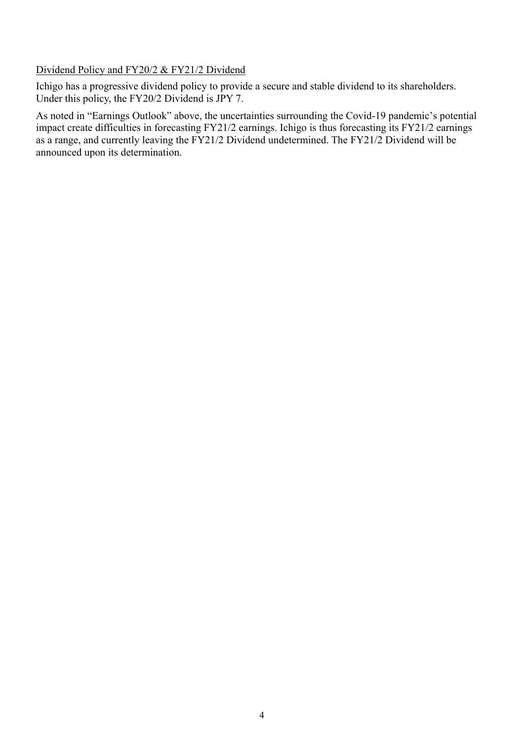#### Dividend Policy and FY20/2 & FY21/2 Dividend

Ichigo has a progressive dividend policy to provide a secure and stable dividend to its shareholders. Under this policy, the FY20/2 Dividend is JPY 7.

As noted in "Earnings Outlook" above, the uncertainties surrounding the Covid-19 pandemic's potential impact create difficulties in forecasting FY21/2 earnings. Ichigo is thus forecasting its FY21/2 earnings as a range, and currently leaving the FY21/2 Dividend undetermined. The FY21/2 Dividend will be announced upon its determination.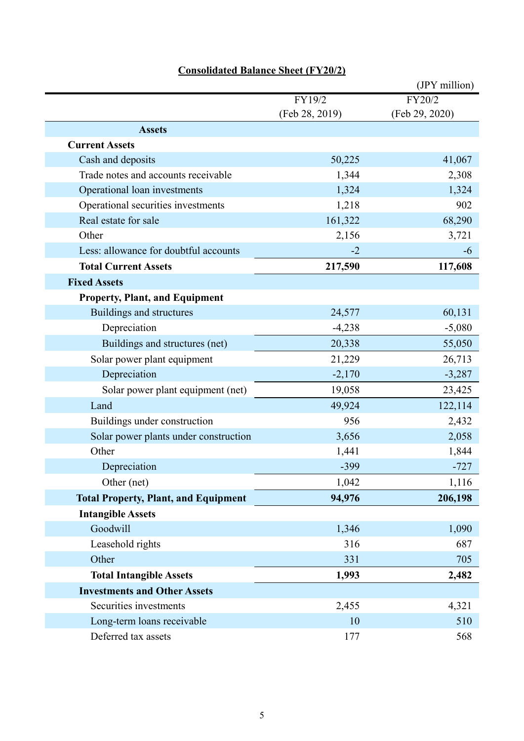|                                             |                | (JPY million)  |
|---------------------------------------------|----------------|----------------|
|                                             | FY19/2         | FY20/2         |
|                                             | (Feb 28, 2019) | (Feb 29, 2020) |
| <b>Assets</b>                               |                |                |
| <b>Current Assets</b>                       |                |                |
| Cash and deposits                           | 50,225         | 41,067         |
| Trade notes and accounts receivable         | 1,344          | 2,308          |
| Operational loan investments                | 1,324          | 1,324          |
| Operational securities investments          | 1,218          | 902            |
| Real estate for sale                        | 161,322        | 68,290         |
| Other                                       | 2,156          | 3,721          |
| Less: allowance for doubtful accounts       | $-2$           | $-6$           |
| <b>Total Current Assets</b>                 | 217,590        | 117,608        |
| <b>Fixed Assets</b>                         |                |                |
| <b>Property, Plant, and Equipment</b>       |                |                |
| <b>Buildings and structures</b>             | 24,577         | 60,131         |
| Depreciation                                | $-4,238$       | $-5,080$       |
| Buildings and structures (net)              | 20,338         | 55,050         |
| Solar power plant equipment                 | 21,229         | 26,713         |
| Depreciation                                | $-2,170$       | $-3,287$       |
| Solar power plant equipment (net)           | 19,058         | 23,425         |
| Land                                        | 49,924         | 122,114        |
| Buildings under construction                | 956            | 2,432          |
| Solar power plants under construction       | 3,656          | 2,058          |
| Other                                       | 1,441          | 1,844          |
| Depreciation                                | $-399$         | $-727$         |
| Other (net)                                 | 1,042          | 1,116          |
| <b>Total Property, Plant, and Equipment</b> | 94,976         | 206,198        |
| <b>Intangible Assets</b>                    |                |                |
| Goodwill                                    | 1,346          | 1,090          |
| Leasehold rights                            | 316            | 687            |
| Other                                       | 331            | 705            |
| <b>Total Intangible Assets</b>              | 1,993          | 2,482          |
| <b>Investments and Other Assets</b>         |                |                |
| Securities investments                      | 2,455          | 4,321          |
| Long-term loans receivable                  | 10             | 510            |
| Deferred tax assets                         | 177            | 568            |

# **Consolidated Balance Sheet (FY20/2)**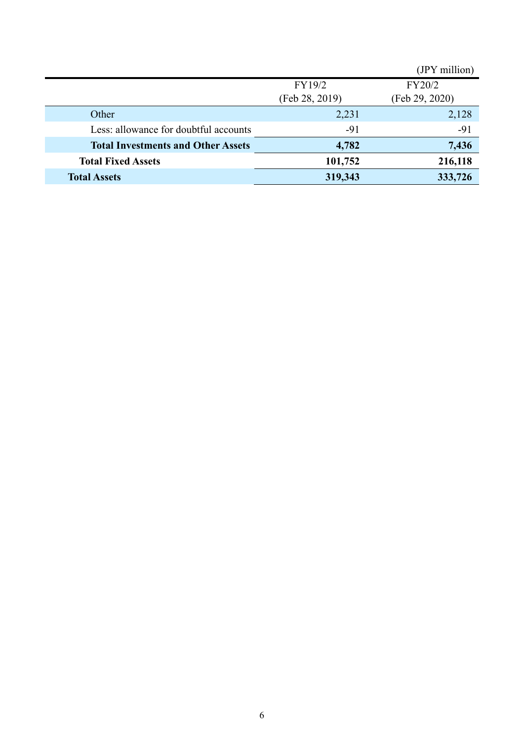|                                           |                | (JPY million)  |
|-------------------------------------------|----------------|----------------|
|                                           | FY19/2         | FY20/2         |
|                                           | (Feb 28, 2019) | (Feb 29, 2020) |
| Other                                     | 2,231          | 2,128          |
| Less: allowance for doubtful accounts     | $-91$          | $-91$          |
| <b>Total Investments and Other Assets</b> | 4,782          | 7,436          |
| <b>Total Fixed Assets</b>                 | 101,752        | 216,118        |
| <b>Total Assets</b>                       | 319,343        | 333,726        |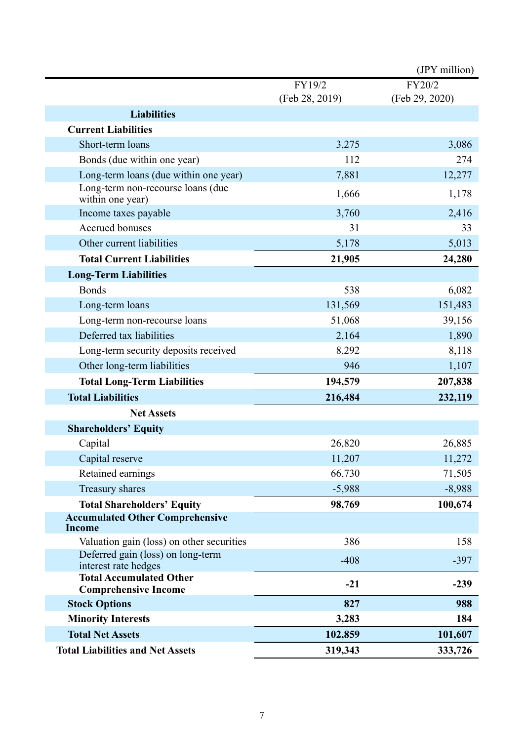|                                                               |                | (JPY million)  |
|---------------------------------------------------------------|----------------|----------------|
|                                                               | FY19/2         | FY20/2         |
|                                                               | (Feb 28, 2019) | (Feb 29, 2020) |
| <b>Liabilities</b>                                            |                |                |
| <b>Current Liabilities</b>                                    |                |                |
| Short-term loans                                              | 3,275          | 3,086          |
| Bonds (due within one year)                                   | 112            | 274            |
| Long-term loans (due within one year)                         | 7,881          | 12,277         |
| Long-term non-recourse loans (due<br>within one year)         | 1,666          | 1,178          |
| Income taxes payable                                          | 3,760          | 2,416          |
| Accrued bonuses                                               | 31             | 33             |
| Other current liabilities                                     | 5,178          | 5,013          |
| <b>Total Current Liabilities</b>                              | 21,905         | 24,280         |
| <b>Long-Term Liabilities</b>                                  |                |                |
| <b>Bonds</b>                                                  | 538            | 6,082          |
| Long-term loans                                               | 131,569        | 151,483        |
| Long-term non-recourse loans                                  | 51,068         | 39,156         |
| Deferred tax liabilities                                      | 2,164          | 1,890          |
| Long-term security deposits received                          | 8,292          | 8,118          |
| Other long-term liabilities                                   | 946            | 1,107          |
| <b>Total Long-Term Liabilities</b>                            | 194,579        | 207,838        |
| <b>Total Liabilities</b>                                      | 216,484        | 232,119        |
| <b>Net Assets</b>                                             |                |                |
| <b>Shareholders' Equity</b>                                   |                |                |
| Capital                                                       | 26,820         | 26,885         |
| Capital reserve                                               | 11,207         | 11,272         |
| Retained earnings                                             | 66,730         | 71,505         |
| Treasury shares                                               | $-5,988$       | $-8,988$       |
| <b>Total Shareholders' Equity</b>                             | 98,769         | 100,674        |
| <b>Accumulated Other Comprehensive</b><br><b>Income</b>       |                |                |
| Valuation gain (loss) on other securities                     | 386            | 158            |
| Deferred gain (loss) on long-term<br>interest rate hedges     | $-408$         | $-397$         |
| <b>Total Accumulated Other</b><br><b>Comprehensive Income</b> | $-21$          | $-239$         |
| <b>Stock Options</b>                                          | 827            | 988            |
| <b>Minority Interests</b>                                     | 3,283          | 184            |
| <b>Total Net Assets</b>                                       | 102,859        | 101,607        |
| <b>Total Liabilities and Net Assets</b>                       | 319,343        | 333,726        |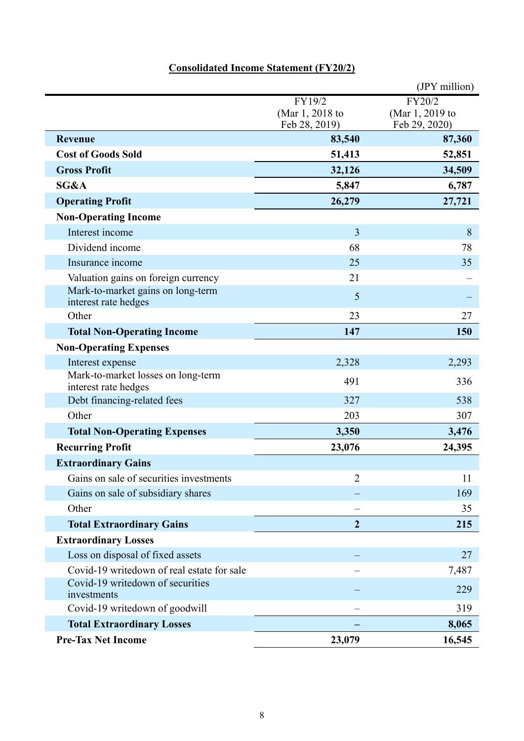## **Consolidated Income Statement (FY20/2)**

|                                                            |                                  | (JPY million)                    |
|------------------------------------------------------------|----------------------------------|----------------------------------|
|                                                            | FY19/2                           | FY20/2                           |
|                                                            | (Mar 1, 2018 to<br>Feb 28, 2019) | (Mar 1, 2019 to<br>Feb 29, 2020) |
| <b>Revenue</b>                                             | 83,540                           | 87,360                           |
| <b>Cost of Goods Sold</b>                                  | 51,413                           | 52,851                           |
| <b>Gross Profit</b>                                        | 32,126                           | 34,509                           |
| SG&A                                                       | 5,847                            | 6,787                            |
| <b>Operating Profit</b>                                    | 26,279                           | 27,721                           |
| <b>Non-Operating Income</b>                                |                                  |                                  |
| Interest income                                            | $\overline{3}$                   | 8                                |
| Dividend income                                            | 68                               | 78                               |
| Insurance income                                           | 25                               | 35                               |
| Valuation gains on foreign currency                        | 21                               |                                  |
| Mark-to-market gains on long-term<br>interest rate hedges  | 5                                |                                  |
| Other                                                      | 23                               | 27                               |
| <b>Total Non-Operating Income</b>                          | 147                              | 150                              |
| <b>Non-Operating Expenses</b>                              |                                  |                                  |
| Interest expense                                           | 2,328                            | 2,293                            |
| Mark-to-market losses on long-term<br>interest rate hedges | 491                              | 336                              |
| Debt financing-related fees                                | 327                              | 538                              |
| Other                                                      | 203                              | 307                              |
| <b>Total Non-Operating Expenses</b>                        | 3,350                            | 3,476                            |
| <b>Recurring Profit</b>                                    | 23,076                           | 24,395                           |
| <b>Extraordinary Gains</b>                                 |                                  |                                  |
| Gains on sale of securities investments                    | 2                                | 11                               |
| Gains on sale of subsidiary shares                         |                                  | 169                              |
| Other                                                      |                                  | 35                               |
| <b>Total Extraordinary Gains</b>                           | $\overline{2}$                   | 215                              |
| <b>Extraordinary Losses</b>                                |                                  |                                  |
| Loss on disposal of fixed assets                           |                                  | 27                               |
| Covid-19 writedown of real estate for sale                 |                                  | 7,487                            |
| Covid-19 writedown of securities<br>investments            |                                  | 229                              |
| Covid-19 writedown of goodwill                             |                                  | 319                              |
| <b>Total Extraordinary Losses</b>                          |                                  | 8,065                            |
| <b>Pre-Tax Net Income</b>                                  | 23,079                           | 16,545                           |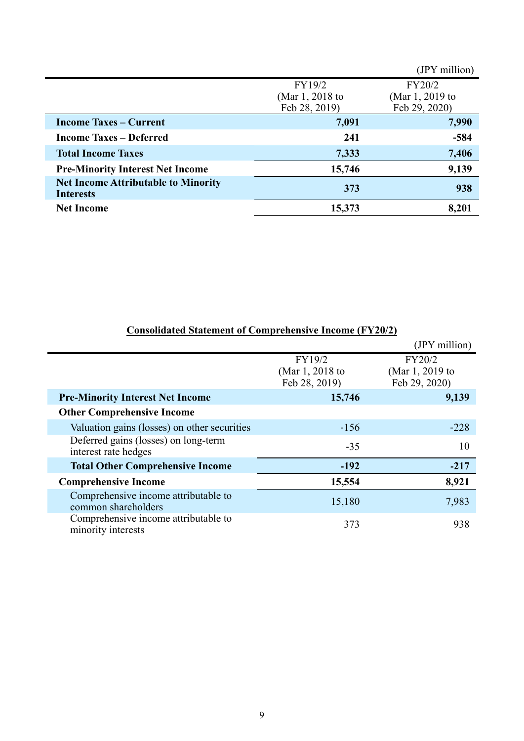|                                                                |                 | (JPY million)   |
|----------------------------------------------------------------|-----------------|-----------------|
|                                                                | FY19/2          | FY20/2          |
|                                                                | (Mar 1, 2018 to | (Mar 1, 2019 to |
|                                                                | Feb 28, 2019)   | Feb 29, 2020)   |
| <b>Income Taxes – Current</b>                                  | 7,091           | 7,990           |
| <b>Income Taxes – Deferred</b>                                 | 241             | $-584$          |
| <b>Total Income Taxes</b>                                      | 7,333           | 7,406           |
| <b>Pre-Minority Interest Net Income</b>                        | 15,746          | 9,139           |
| <b>Net Income Attributable to Minority</b><br><b>Interests</b> | 373             | 938             |
| <b>Net Income</b>                                              | 15,373          | 8,201           |

|                                                              |                                            | (JPY million)                              |
|--------------------------------------------------------------|--------------------------------------------|--------------------------------------------|
|                                                              | FY19/2<br>(Mar 1, 2018 to<br>Feb 28, 2019) | FY20/2<br>(Mar 1, 2019 to<br>Feb 29, 2020) |
| <b>Pre-Minority Interest Net Income</b>                      | 15,746                                     | 9,139                                      |
| <b>Other Comprehensive Income</b>                            |                                            |                                            |
| Valuation gains (losses) on other securities                 | $-156$                                     | $-228$                                     |
| Deferred gains (losses) on long-term<br>interest rate hedges | $-35$                                      | 10                                         |
| <b>Total Other Comprehensive Income</b>                      | $-192$                                     | $-217$                                     |
| <b>Comprehensive Income</b>                                  | 15,554                                     | 8,921                                      |
| Comprehensive income attributable to<br>common shareholders  | 15,180                                     | 7,983                                      |
| Comprehensive income attributable to<br>minority interests   | 373                                        | 938                                        |

## **Consolidated Statement of Comprehensive Income (FY20/2)**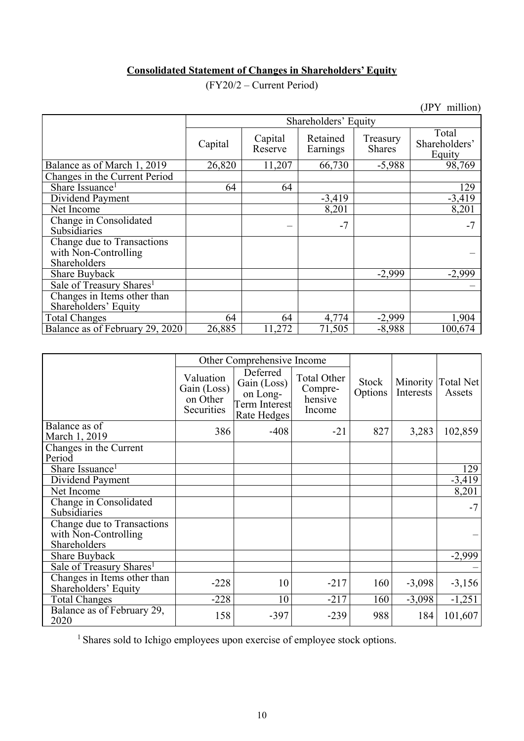### **Consolidated Statement of Changes in Shareholders' Equity**

(FY20/2 – Current Period)

(JPY million)

|                                                                    | Shareholders' Equity |                    |                      |                           |                                  |
|--------------------------------------------------------------------|----------------------|--------------------|----------------------|---------------------------|----------------------------------|
|                                                                    | Capital              | Capital<br>Reserve | Retained<br>Earnings | Treasury<br><b>Shares</b> | Total<br>Shareholders'<br>Equity |
| Balance as of March 1, 2019                                        | 26,820               | 11,207             | 66,730               | $-5,988$                  | 98,769                           |
| Changes in the Current Period                                      |                      |                    |                      |                           |                                  |
| Share Issuance <sup>1</sup>                                        | 64                   | 64                 |                      |                           | 129                              |
| Dividend Payment                                                   |                      |                    | $-3,419$             |                           | $-3,419$                         |
| Net Income                                                         |                      |                    | 8,201                |                           | 8,201                            |
| Change in Consolidated<br>Subsidiaries                             |                      |                    | $-7$                 |                           | $-7$                             |
| Change due to Transactions<br>with Non-Controlling<br>Shareholders |                      |                    |                      |                           |                                  |
| <b>Share Buyback</b>                                               |                      |                    |                      | $-2,999$                  | $-2,999$                         |
| Sale of Treasury Shares <sup>1</sup>                               |                      |                    |                      |                           |                                  |
| Changes in Items other than<br>Shareholders' Equity                |                      |                    |                      |                           |                                  |
| <b>Total Changes</b>                                               | 64                   | 64                 | 4,774                | $-2,999$                  | 1,904                            |
| Balance as of February 29, 2020                                    | 26,885               | 11,272             | 71,505               | $-8,988$                  | 100,674                          |

|                                                                    | Other Comprehensive Income                         |                                                                     |                                                    |                  |           |                              |
|--------------------------------------------------------------------|----------------------------------------------------|---------------------------------------------------------------------|----------------------------------------------------|------------------|-----------|------------------------------|
|                                                                    | Valuation<br>Gain (Loss)<br>on Other<br>Securities | Deferred<br>Gain (Loss)<br>on Long-<br>Term Interest<br>Rate Hedges | <b>Total Other</b><br>Compre-<br>hensive<br>Income | Stock<br>Options | Interests | Minority Total Net<br>Assets |
| Balance as of<br>March 1, 2019                                     | 386                                                | $-408$                                                              | $-21$                                              | 827              | 3,283     | 102,859                      |
| Changes in the Current<br>Period                                   |                                                    |                                                                     |                                                    |                  |           |                              |
| Share Issuance <sup>1</sup>                                        |                                                    |                                                                     |                                                    |                  |           | 129                          |
| Dividend Payment                                                   |                                                    |                                                                     |                                                    |                  |           | $-3,419$                     |
| Net Income                                                         |                                                    |                                                                     |                                                    |                  |           | 8,201                        |
| Change in Consolidated<br>Subsidiaries                             |                                                    |                                                                     |                                                    |                  |           | $-7$                         |
| Change due to Transactions<br>with Non-Controlling<br>Shareholders |                                                    |                                                                     |                                                    |                  |           |                              |
| <b>Share Buyback</b>                                               |                                                    |                                                                     |                                                    |                  |           | $-2,999$                     |
| Sale of Treasury Shares <sup>1</sup>                               |                                                    |                                                                     |                                                    |                  |           |                              |
| Changes in Items other than<br>Shareholders' Equity                | $-228$                                             | 10                                                                  | $-217$                                             | 160              | $-3,098$  | $-3,156$                     |
| <b>Total Changes</b>                                               | $-228$                                             | 10                                                                  | $-217$                                             | 160              | $-3,098$  | $-1,251$                     |
| Balance as of February 29,<br>2020                                 | 158                                                | $-397$                                                              | $-239$                                             | 988              | 184       | 101,607                      |

<sup>1</sup> Shares sold to Ichigo employees upon exercise of employee stock options.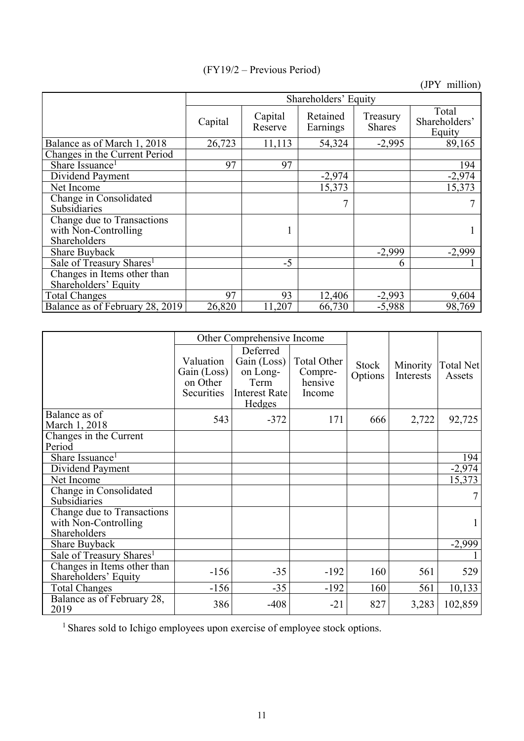(JPY million)

|                                                                    | Shareholders' Equity |                    |                      |                           |                                  |
|--------------------------------------------------------------------|----------------------|--------------------|----------------------|---------------------------|----------------------------------|
|                                                                    | Capital              | Capital<br>Reserve | Retained<br>Earnings | Treasury<br><b>Shares</b> | Total<br>Shareholders'<br>Equity |
| Balance as of March 1, 2018                                        | 26,723               | 11,113             | 54,324               | $-2,995$                  | 89,165                           |
| Changes in the Current Period                                      |                      |                    |                      |                           |                                  |
| Share Issuance <sup>1</sup>                                        | 97                   | 97                 |                      |                           | 194                              |
| Dividend Payment                                                   |                      |                    | $-2,974$             |                           | $-2,974$                         |
| Net Income                                                         |                      |                    | 15,373               |                           | 15,373                           |
| Change in Consolidated<br>Subsidiaries                             |                      |                    |                      |                           |                                  |
| Change due to Transactions<br>with Non-Controlling<br>Shareholders |                      |                    |                      |                           |                                  |
| <b>Share Buyback</b>                                               |                      |                    |                      | $-2,999$                  | $-2,999$                         |
| Sale of Treasury Shares <sup>1</sup>                               |                      | $-5$               |                      | 6                         |                                  |
| Changes in Items other than<br>Shareholders' Equity                |                      |                    |                      |                           |                                  |
| <b>Total Changes</b>                                               | 97                   | 93                 | 12,406               | $-2,993$                  | 9,604                            |
| Balance as of February 28, 2019                                    | 26,820               | 11,207             | 66,730               | $-5,988$                  | 98,769                           |

|                                                                    |                                                    | Other Comprehensive Income                                                    |                                                    |                         |                       |                     |
|--------------------------------------------------------------------|----------------------------------------------------|-------------------------------------------------------------------------------|----------------------------------------------------|-------------------------|-----------------------|---------------------|
|                                                                    | Valuation<br>Gain (Loss)<br>on Other<br>Securities | Deferred<br>Gain (Loss)<br>on Long-<br>Term<br><b>Interest Rate</b><br>Hedges | <b>Total Other</b><br>Compre-<br>hensive<br>Income | <b>Stock</b><br>Options | Minority<br>Interests | Total Net<br>Assets |
| Balance as of                                                      | 543                                                | $-372$                                                                        | 171                                                | 666                     | 2,722                 | 92,725              |
| March 1, 2018                                                      |                                                    |                                                                               |                                                    |                         |                       |                     |
| Changes in the Current<br>Period                                   |                                                    |                                                                               |                                                    |                         |                       |                     |
| Share Issuance <sup>1</sup>                                        |                                                    |                                                                               |                                                    |                         |                       | 194                 |
| Dividend Payment                                                   |                                                    |                                                                               |                                                    |                         |                       | $-2,974$            |
| Net Income                                                         |                                                    |                                                                               |                                                    |                         |                       | 15,373              |
| Change in Consolidated<br>Subsidiaries                             |                                                    |                                                                               |                                                    |                         |                       |                     |
| Change due to Transactions<br>with Non-Controlling<br>Shareholders |                                                    |                                                                               |                                                    |                         |                       |                     |
| Share Buyback                                                      |                                                    |                                                                               |                                                    |                         |                       | $-2,999$            |
| Sale of Treasury Shares <sup>1</sup>                               |                                                    |                                                                               |                                                    |                         |                       |                     |
| Changes in Items other than<br>Shareholders' Equity                | $-156$                                             | $-35$                                                                         | $-192$                                             | 160                     | 561                   | 529                 |
| <b>Total Changes</b>                                               | $-156$                                             | $-35$                                                                         | $-192$                                             | 160                     | 561                   | 10,133              |
| Balance as of February 28,<br>2019                                 | 386                                                | $-408$                                                                        | $-21$                                              | 827                     | 3,283                 | 102,859             |

<sup>1</sup> Shares sold to Ichigo employees upon exercise of employee stock options.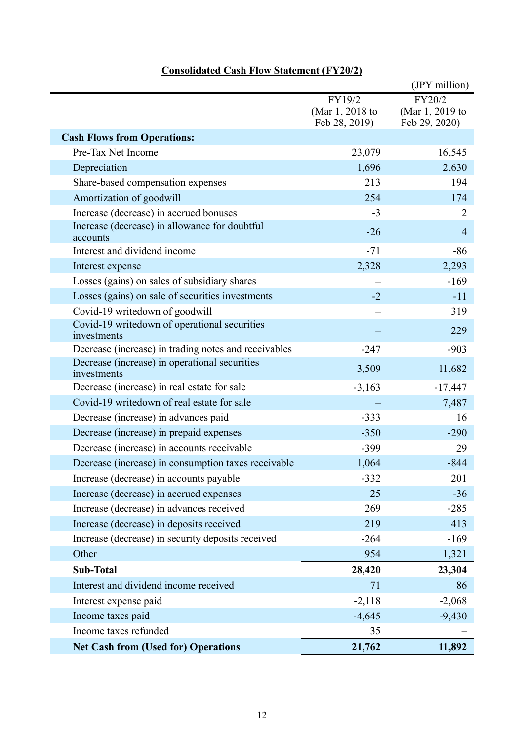|                                                              |                                            | (JPY million)                              |
|--------------------------------------------------------------|--------------------------------------------|--------------------------------------------|
|                                                              | FY19/2<br>(Mar 1, 2018 to<br>Feb 28, 2019) | FY20/2<br>(Mar 1, 2019 to<br>Feb 29, 2020) |
| <b>Cash Flows from Operations:</b>                           |                                            |                                            |
| Pre-Tax Net Income                                           | 23,079                                     | 16,545                                     |
| Depreciation                                                 | 1,696                                      | 2,630                                      |
| Share-based compensation expenses                            | 213                                        | 194                                        |
| Amortization of goodwill                                     | 254                                        | 174                                        |
| Increase (decrease) in accrued bonuses                       | $-3$                                       | 2                                          |
| Increase (decrease) in allowance for doubtful<br>accounts    | $-26$                                      | $\overline{4}$                             |
| Interest and dividend income                                 | $-71$                                      | $-86$                                      |
| Interest expense                                             | 2,328                                      | 2,293                                      |
| Losses (gains) on sales of subsidiary shares                 |                                            | $-169$                                     |
| Losses (gains) on sale of securities investments             | $-2$                                       | $-11$                                      |
| Covid-19 writedown of goodwill                               |                                            | 319                                        |
| Covid-19 writedown of operational securities<br>investments  |                                            | 229                                        |
| Decrease (increase) in trading notes and receivables         | $-247$                                     | $-903$                                     |
| Decrease (increase) in operational securities<br>investments | 3,509                                      | 11,682                                     |
| Decrease (increase) in real estate for sale                  | $-3,163$                                   | $-17,447$                                  |
| Covid-19 writedown of real estate for sale                   |                                            | 7,487                                      |
| Decrease (increase) in advances paid                         | $-333$                                     | 16                                         |
| Decrease (increase) in prepaid expenses                      | $-350$                                     | $-290$                                     |
| Decrease (increase) in accounts receivable                   | $-399$                                     | 29                                         |
| Decrease (increase) in consumption taxes receivable          | 1,064                                      | $-844$                                     |
| Increase (decrease) in accounts payable                      | $-332$                                     | 201                                        |
| Increase (decrease) in accrued expenses                      | 25                                         | $-36$                                      |
| Increase (decrease) in advances received                     | 269                                        | $-285$                                     |
| Increase (decrease) in deposits received                     | 219                                        | 413                                        |
| Increase (decrease) in security deposits received            | $-264$                                     | $-169$                                     |
| Other                                                        | 954                                        | 1,321                                      |
| <b>Sub-Total</b>                                             | 28,420                                     | 23,304                                     |
| Interest and dividend income received                        | 71                                         | 86                                         |
| Interest expense paid                                        | $-2,118$                                   | $-2,068$                                   |
| Income taxes paid                                            | $-4,645$                                   | $-9,430$                                   |
| Income taxes refunded                                        | 35                                         |                                            |
| <b>Net Cash from (Used for) Operations</b>                   | 21,762                                     | 11,892                                     |

# **Consolidated Cash Flow Statement (FY20/2)**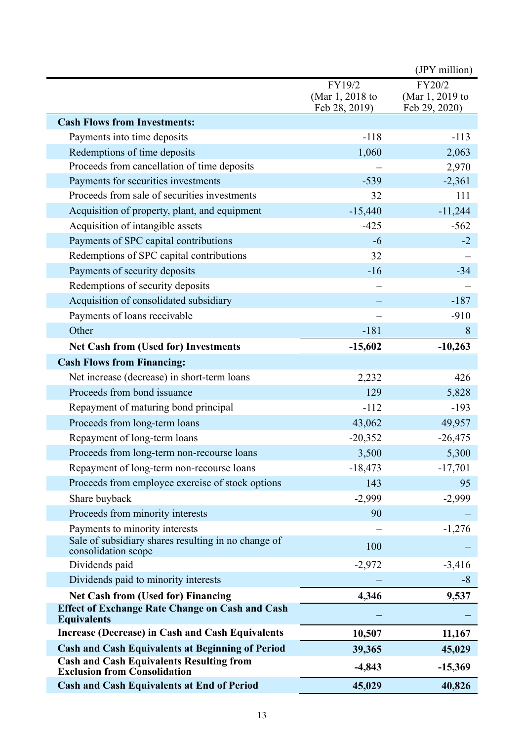|                                                                                        |                           | (JPY million)             |
|----------------------------------------------------------------------------------------|---------------------------|---------------------------|
|                                                                                        | FY19/2<br>(Mar 1, 2018 to | FY20/2<br>(Mar 1, 2019 to |
|                                                                                        | Feb 28, 2019)             | Feb 29, 2020)             |
| <b>Cash Flows from Investments:</b>                                                    |                           |                           |
| Payments into time deposits                                                            | $-118$                    | $-113$                    |
| Redemptions of time deposits                                                           | 1,060                     | 2,063                     |
| Proceeds from cancellation of time deposits                                            |                           | 2,970                     |
| Payments for securities investments                                                    | $-539$                    | $-2,361$                  |
| Proceeds from sale of securities investments                                           | 32                        | 111                       |
| Acquisition of property, plant, and equipment                                          | $-15,440$                 | $-11,244$                 |
| Acquisition of intangible assets                                                       | $-425$                    | $-562$                    |
| Payments of SPC capital contributions                                                  | $-6$                      | $-2$                      |
| Redemptions of SPC capital contributions                                               | 32                        |                           |
| Payments of security deposits                                                          | $-16$                     | $-34$                     |
| Redemptions of security deposits                                                       |                           |                           |
| Acquisition of consolidated subsidiary                                                 |                           | $-187$                    |
| Payments of loans receivable                                                           |                           | $-910$                    |
| Other                                                                                  | $-181$                    | 8                         |
| <b>Net Cash from (Used for) Investments</b>                                            | $-15,602$                 | $-10,263$                 |
| <b>Cash Flows from Financing:</b>                                                      |                           |                           |
| Net increase (decrease) in short-term loans                                            | 2,232                     | 426                       |
| Proceeds from bond issuance                                                            | 129                       | 5,828                     |
| Repayment of maturing bond principal                                                   | $-112$                    | $-193$                    |
| Proceeds from long-term loans                                                          | 43,062                    | 49,957                    |
| Repayment of long-term loans                                                           | $-20,352$                 | $-26,475$                 |
| Proceeds from long-term non-recourse loans                                             | 3,500                     | 5,300                     |
| Repayment of long-term non-recourse loans                                              | $-18,473$                 | $-17,701$                 |
| Proceeds from employee exercise of stock options                                       | 143                       | 95                        |
| Share buyback                                                                          | $-2,999$                  | $-2,999$                  |
| Proceeds from minority interests                                                       | 90                        |                           |
| Payments to minority interests                                                         |                           | $-1,276$                  |
| Sale of subsidiary shares resulting in no change of<br>consolidation scope             | 100                       |                           |
| Dividends paid                                                                         | $-2,972$                  | $-3,416$                  |
| Dividends paid to minority interests                                                   |                           | $-8$                      |
| <b>Net Cash from (Used for) Financing</b>                                              | 4,346                     | 9,537                     |
| <b>Effect of Exchange Rate Change on Cash and Cash</b><br><b>Equivalents</b>           |                           |                           |
| <b>Increase (Decrease) in Cash and Cash Equivalents</b>                                | 10,507                    | 11,167                    |
| <b>Cash and Cash Equivalents at Beginning of Period</b>                                | 39,365                    | 45,029                    |
| <b>Cash and Cash Equivalents Resulting from</b><br><b>Exclusion from Consolidation</b> | $-4,843$                  | $-15,369$                 |
| <b>Cash and Cash Equivalents at End of Period</b>                                      | 45,029                    | 40,826                    |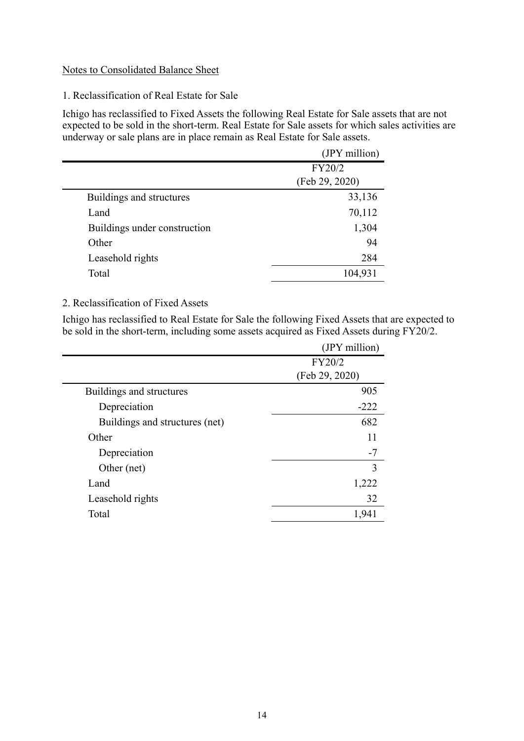#### Notes to Consolidated Balance Sheet

#### 1. Reclassification of Real Estate for Sale

Ichigo has reclassified to Fixed Assets the following Real Estate for Sale assets that are not expected to be sold in the short-term. Real Estate for Sale assets for which sales activities are underway or sale plans are in place remain as Real Estate for Sale assets.

|                              | (JPY million)  |
|------------------------------|----------------|
|                              | FY20/2         |
|                              | (Feb 29, 2020) |
| Buildings and structures     | 33,136         |
| Land                         | 70,112         |
| Buildings under construction | 1,304          |
| Other                        | 94             |
| Leasehold rights             | 284            |
| Total                        | 104,931        |

#### 2. Reclassification of Fixed Assets

Ichigo has reclassified to Real Estate for Sale the following Fixed Assets that are expected to be sold in the short-term, including some assets acquired as Fixed Assets during FY20/2.

|                                | (JPY million)  |
|--------------------------------|----------------|
|                                | FY20/2         |
|                                | (Feb 29, 2020) |
| Buildings and structures       | 905            |
| Depreciation                   | $-222$         |
| Buildings and structures (net) | 682            |
| Other                          | 11             |
| Depreciation                   | $-7$           |
| Other (net)                    | 3              |
| Land                           | 1,222          |
| Leasehold rights               | 32             |
| Total                          | 1,941          |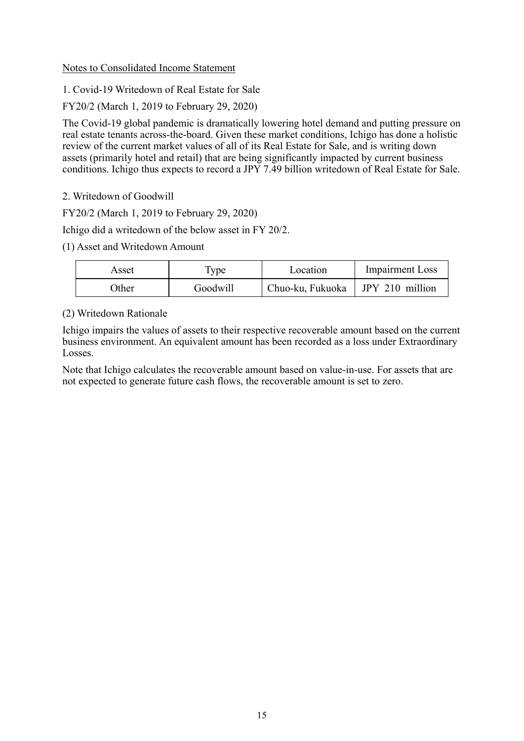#### Notes to Consolidated Income Statement

1. Covid-19 Writedown of Real Estate for Sale

FY20/2 (March 1, 2019 to February 29, 2020)

The Covid-19 global pandemic is dramatically lowering hotel demand and putting pressure on real estate tenants across-the-board. Given these market conditions, Ichigo has done a holistic review of the current market values of all of its Real Estate for Sale, and is writing down assets (primarily hotel and retail) that are being significantly impacted by current business conditions. Ichigo thus expects to record a JPY 7.49 billion writedown of Real Estate for Sale.

#### 2. Writedown of Goodwill

FY20/2 (March 1, 2019 to February 29, 2020)

Ichigo did a writedown of the below asset in FY 20/2.

#### (1) Asset and Writedown Amount

| Asset | ype      | Location                           | Impairment Loss |
|-------|----------|------------------------------------|-----------------|
| )ther | Goodwill | Chuo-ku, Fukuoka   JPY 210 million |                 |

#### (2) Writedown Rationale

Ichigo impairs the values of assets to their respective recoverable amount based on the current business environment. An equivalent amount has been recorded as a loss under Extraordinary Losses.

Note that Ichigo calculates the recoverable amount based on value-in-use. For assets that are not expected to generate future cash flows, the recoverable amount is set to zero.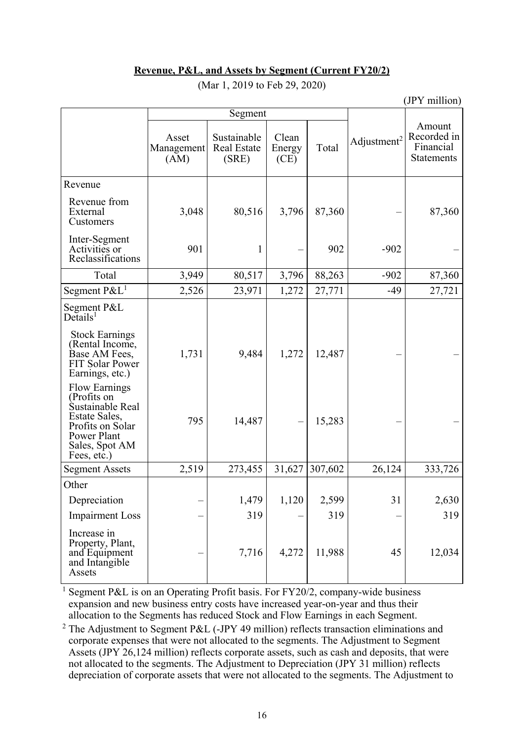#### **Revenue, P&L, and Assets by Segment (Current FY20/2)**

|                                                                                                                                              |                             | Segment                                    |                         |         |                         |                                                  |
|----------------------------------------------------------------------------------------------------------------------------------------------|-----------------------------|--------------------------------------------|-------------------------|---------|-------------------------|--------------------------------------------------|
|                                                                                                                                              | Asset<br>Management<br>(AM) | Sustainable<br><b>Real Estate</b><br>(SRE) | Clean<br>Energy<br>(CE) | Total   | Adjustment <sup>2</sup> | Amount<br>Recorded in<br>Financial<br>Statements |
| Revenue                                                                                                                                      |                             |                                            |                         |         |                         |                                                  |
| Revenue from<br>External<br>Customers                                                                                                        | 3,048                       | 80,516                                     | 3,796                   | 87,360  |                         | 87,360                                           |
| Inter-Segment<br>Activities or<br>Reclassifications                                                                                          | 901                         | 1                                          |                         | 902     | $-902$                  |                                                  |
| Total                                                                                                                                        | 3,949                       | 80,517                                     | 3,796                   | 88,263  | $-902$                  | 87,360                                           |
| Segment $P\&L^1$                                                                                                                             | 2,526                       | 23,971                                     | 1,272                   | 27,771  | $-49$                   | 27,721                                           |
| Segment P&L<br>$De$ tails <sup>1</sup>                                                                                                       |                             |                                            |                         |         |                         |                                                  |
| <b>Stock Earnings</b><br>(Rental Income,<br>Base AM Fees,<br>FIT Solar Power<br>Earnings, etc.)                                              | 1,731                       | 9,484                                      | 1,272                   | 12,487  |                         |                                                  |
| <b>Flow Earnings</b><br>(Profits on<br>Sustainable Real<br>Estate Sales,<br>Profits on Solar<br>Power Plant<br>Sales, Spot AM<br>Fees, etc.) | 795                         | 14,487                                     |                         | 15,283  |                         |                                                  |
| <b>Segment Assets</b>                                                                                                                        | 2,519                       | 273,455                                    | 31,627                  | 307,602 | 26,124                  | 333,726                                          |
| Other                                                                                                                                        |                             |                                            |                         |         |                         |                                                  |
| Depreciation                                                                                                                                 |                             | 1,479                                      | 1,120                   | 2,599   | 31                      | 2,630                                            |
| <b>Impairment Loss</b>                                                                                                                       |                             | 319                                        |                         | 319     |                         | 319                                              |
| Increase in<br>Property, Plant,<br>and Equipment<br>and Intangible<br>Assets                                                                 |                             | 7,716                                      | 4,272                   | 11,988  | 45                      | 12,034                                           |

(Mar 1, 2019 to Feb 29, 2020)

(JPY million)

1 Segment P&L is on an Operating Profit basis. For FY20/2, company-wide business expansion and new business entry costs have increased year-on-year and thus their allocation to the Segments has reduced Stock and Flow Earnings in each Segment.

<sup>2</sup> The Adjustment to Segment P&L (-JPY 49 million) reflects transaction eliminations and corporate expenses that were not allocated to the segments. The Adjustment to Segment Assets (JPY 26,124 million) reflects corporate assets, such as cash and deposits, that were not allocated to the segments. The Adjustment to Depreciation (JPY 31 million) reflects depreciation of corporate assets that were not allocated to the segments. The Adjustment to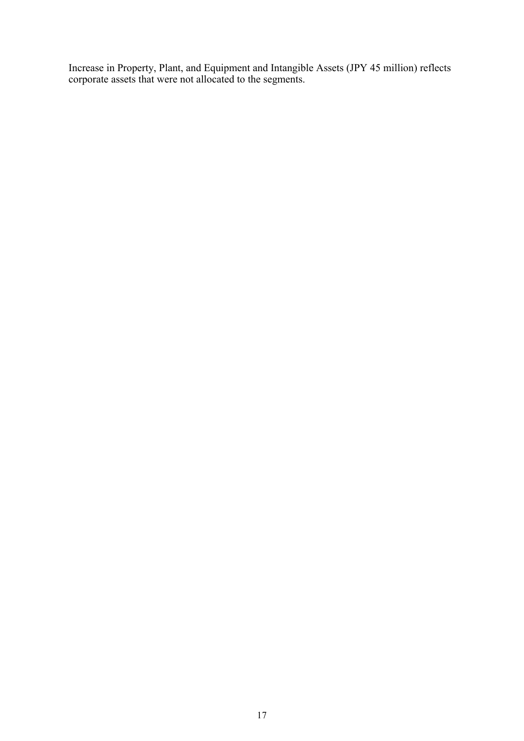Increase in Property, Plant, and Equipment and Intangible Assets (JPY 45 million) reflects corporate assets that were not allocated to the segments.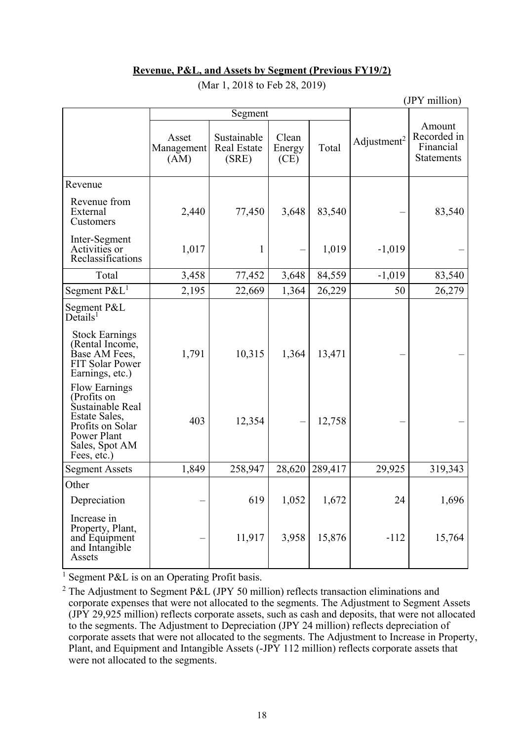#### **Revenue, P&L, and Assets by Segment (Previous FY19/2)**

|                                                                                                                                              |                             | (JPY million)                       |                         |         |                         |                                                         |
|----------------------------------------------------------------------------------------------------------------------------------------------|-----------------------------|-------------------------------------|-------------------------|---------|-------------------------|---------------------------------------------------------|
|                                                                                                                                              | Segment                     |                                     |                         |         |                         |                                                         |
|                                                                                                                                              | Asset<br>Management<br>(AM) | Sustainable<br>Real Estate<br>(SRE) | Clean<br>Energy<br>(CE) | Total   | Adjustment <sup>2</sup> | Amount<br>Recorded in<br>Financial<br><b>Statements</b> |
| Revenue                                                                                                                                      |                             |                                     |                         |         |                         |                                                         |
| Revenue from<br>External<br>Customers                                                                                                        | 2,440                       | 77,450                              | 3,648                   | 83,540  |                         | 83,540                                                  |
| Inter-Segment<br>Activities or<br>Reclassifications                                                                                          | 1,017                       | 1                                   |                         | 1,019   | $-1,019$                |                                                         |
| Total                                                                                                                                        | 3,458                       | 77,452                              | 3,648                   | 84,559  | $-1,019$                | 83,540                                                  |
| Segment $P\&L^1$                                                                                                                             | 2,195                       | 22,669                              | 1,364                   | 26,229  | 50                      | 26,279                                                  |
| Segment P&L<br>$De$ tails <sup>1</sup>                                                                                                       |                             |                                     |                         |         |                         |                                                         |
| <b>Stock Earnings</b><br>(Rental Income,<br>Base AM Fees,<br><b>FIT Solar Power</b><br>Earnings, etc.)                                       | 1,791                       | 10,315                              | 1,364                   | 13,471  |                         |                                                         |
| <b>Flow Earnings</b><br>(Profits on<br>Sustainable Real<br>Estate Sales,<br>Profits on Solar<br>Power Plant<br>Sales, Spot AM<br>Fees, etc.) | 403                         | 12,354                              |                         | 12,758  |                         |                                                         |
| <b>Segment Assets</b>                                                                                                                        | 1,849                       | 258,947                             | 28,620                  | 289,417 | 29,925                  | 319,343                                                 |
| Other                                                                                                                                        |                             |                                     |                         |         |                         |                                                         |
| Depreciation                                                                                                                                 |                             | 619                                 | 1,052                   | 1,672   | 24                      | 1,696                                                   |
| Increase in<br>Property, Plant,<br>and Equipment<br>and Intangible<br>Assets                                                                 |                             | 11,917                              | 3,958                   | 15,876  | $-112$                  | 15,764                                                  |

(Mar 1, 2018 to Feb 28, 2019)

<sup>1</sup> Segment P&L is on an Operating Profit basis.

<sup>2</sup> The Adjustment to Segment P&L (JPY 50 million) reflects transaction eliminations and corporate expenses that were not allocated to the segments. The Adjustment to Segment Assets (JPY 29,925 million) reflects corporate assets, such as cash and deposits, that were not allocated to the segments. The Adjustment to Depreciation (JPY 24 million) reflects depreciation of corporate assets that were not allocated to the segments. The Adjustment to Increase in Property, Plant, and Equipment and Intangible Assets (-JPY 112 million) reflects corporate assets that were not allocated to the segments.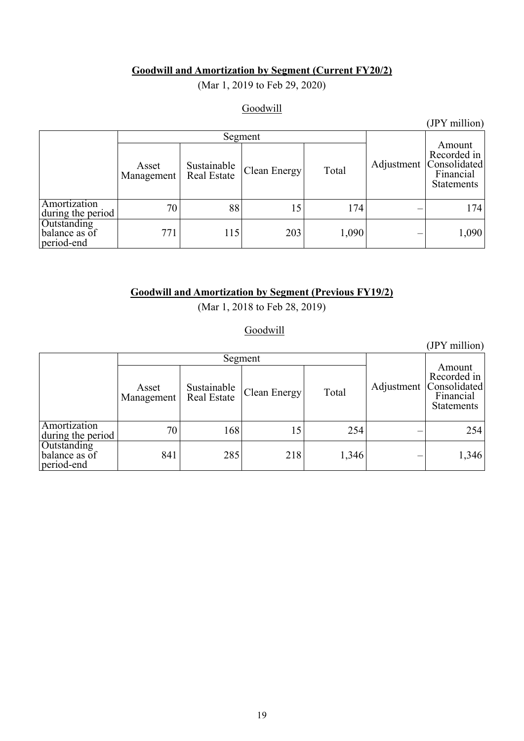#### **Goodwill and Amortization by Segment (Current FY20/2)**

(Mar 1, 2019 to Feb 29, 2020)

### **Goodwill**

|                                            |                     | (JPY million)                     |              |       |            |                                                                         |
|--------------------------------------------|---------------------|-----------------------------------|--------------|-------|------------|-------------------------------------------------------------------------|
| Segment                                    |                     |                                   |              |       |            |                                                                         |
|                                            | Asset<br>Management | Sustainable<br><b>Real Estate</b> | Clean Energy | Total | Adjustment | Amount<br>Recorded in<br>Consolidated<br>Financial<br><b>Statements</b> |
| Amortization<br>during the period          | 70                  | 88                                | 15           | 174   |            | 174                                                                     |
| Outstanding<br>balance as of<br>period-end | 771                 | 115                               | 203          | 1,090 |            | 1,090                                                                   |

#### **Goodwill and Amortization by Segment (Previous FY19/2)**

(Mar 1, 2018 to Feb 28, 2019)

Goodwill

|                                            |                     |                                   |                     |       |            | (JPY million)                                                           |
|--------------------------------------------|---------------------|-----------------------------------|---------------------|-------|------------|-------------------------------------------------------------------------|
| Segment                                    |                     |                                   |                     |       |            |                                                                         |
|                                            | Asset<br>Management | Sustainable<br><b>Real Estate</b> | <b>Clean Energy</b> | Total | Adjustment | Amount<br>Recorded in<br>Consolidated<br>Financial<br><b>Statements</b> |
| Amortization<br>during the period          | 70                  | 168                               |                     | 254   |            | 254                                                                     |
| Outstanding<br>balance as of<br>period-end | 841                 | 285                               | 218                 | 1,346 |            | 1,346                                                                   |